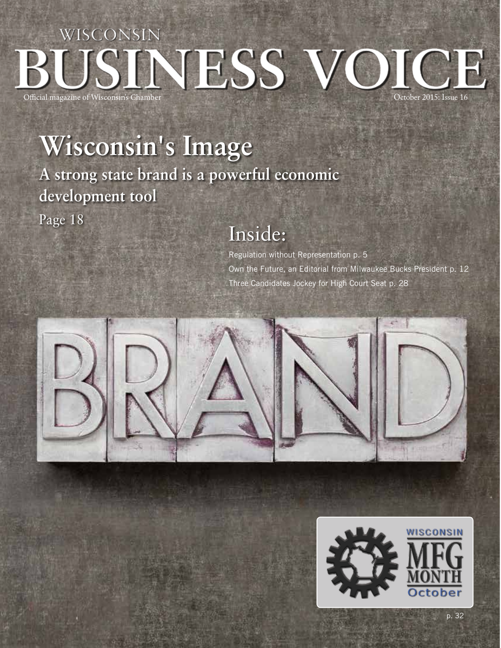## WISCONSIN BUSINESS VOICE Official magazine of Wisconsin's Chamber

# **Wisconsin's Image**

**A strong state brand is a powerful economic development tool**

Page 18

### Inside:

Regulation without Representation p. 5 Own the Future, an Editorial from Milwaukee Bucks President p. 12 Three Candidates Jockey for High Court Seat p. 28





p. 32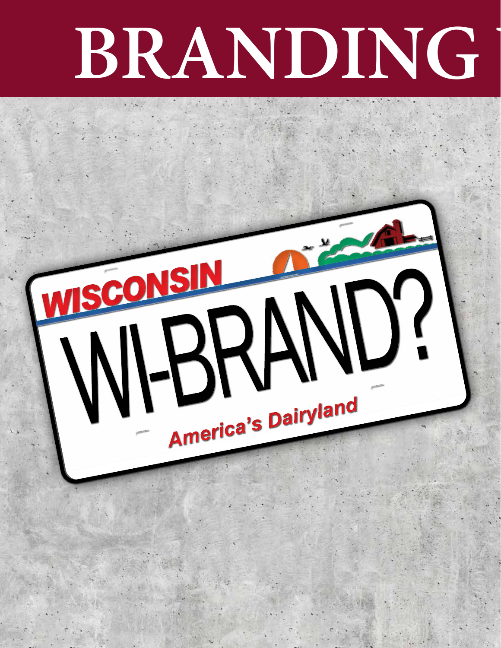# **BRANDING**

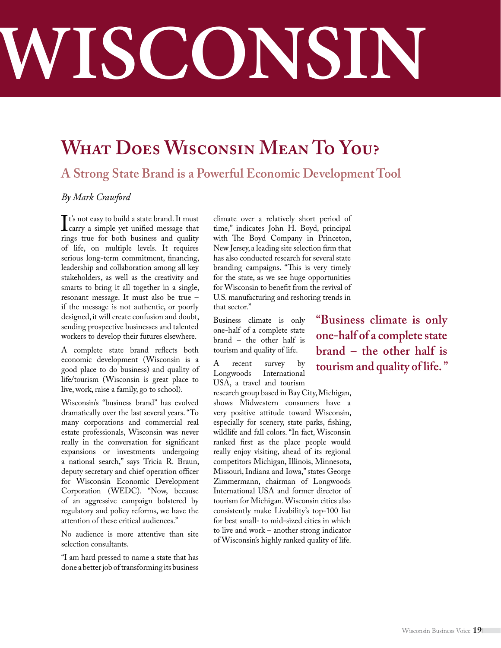# **BRANDING WISCONSIN**

## **What Does Wisconsin Mean To You?**

#### **A Strong State Brand is a Powerful Economic Development Tool**

#### *By Mark Crawford*

It's not easy to build a state brand. It must<br>
carry a simple yet unified message that<br>
rings true for both business and quality carry a simple yet unified message that rings true for both business and quality of life, on multiple levels. It requires serious long-term commitment, financing, leadership and collaboration among all key stakeholders, as well as the creativity and smarts to bring it all together in a single, resonant message. It must also be true – if the message is not authentic, or poorly designed, it will create confusion and doubt, sending prospective businesses and talented workers to develop their futures elsewhere.

A complete state brand reflects both economic development (Wisconsin is a good place to do business) and quality of life/tourism (Wisconsin is great place to live, work, raise a family, go to school).

Wisconsin's "business brand" has evolved dramatically over the last several years. "To many corporations and commercial real estate professionals, Wisconsin was never really in the conversation for significant expansions or investments undergoing a national search," says Tricia R. Braun, deputy secretary and chief operation officer for Wisconsin Economic Development Corporation (WEDC). "Now, because of an aggressive campaign bolstered by regulatory and policy reforms, we have the attention of these critical audiences."

No audience is more attentive than site selection consultants.

"I am hard pressed to name a state that has done a better job of transforming its business

climate over a relatively short period of time," indicates John H. Boyd, principal with The Boyd Company in Princeton, New Jersey, a leading site selection firm that has also conducted research for several state branding campaigns. "This is very timely for the state, as we see huge opportunities for Wisconsin to benefit from the revival of U.S. manufacturing and reshoring trends in that sector."

Business climate is only one-half of a complete state brand – the other half is tourism and quality of life.

A recent survey by Longwoods International USA, a travel and tourism

research group based in Bay City, Michigan, shows Midwestern consumers have a very positive attitude toward Wisconsin, especially for scenery, state parks, fishing, wildlife and fall colors. "In fact, Wisconsin ranked first as the place people would really enjoy visiting, ahead of its regional competitors Michigan, Illinois, Minnesota, Missouri, Indiana and Iowa," states George Zimmermann, chairman of Longwoods International USA and former director of tourism for Michigan. Wisconsin cities also consistently make Livability's top-100 list for best small- to mid-sized cities in which to live and work – another strong indicator of Wisconsin's highly ranked quality of life.

**"Business climate is only one-half of a complete state brand – the other half is tourism and quality of life. "**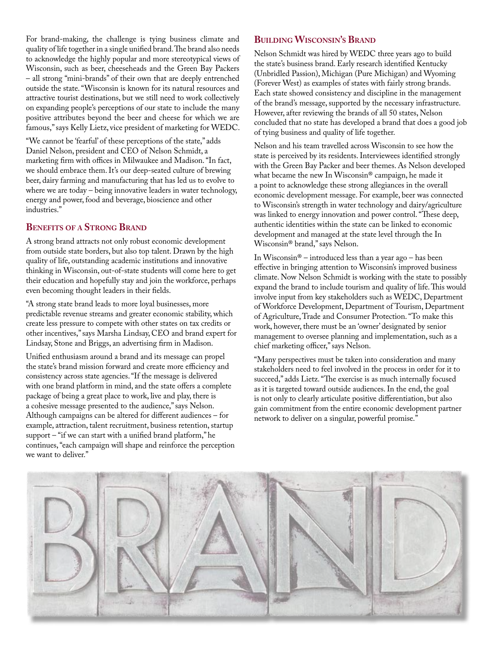For brand-making, the challenge is tying business climate and quality of life together in a single unified brand. The brand also needs to acknowledge the highly popular and more stereotypical views of Wisconsin, such as beer, cheeseheads and the Green Bay Packers – all strong "mini-brands" of their own that are deeply entrenched outside the state. "Wisconsin is known for its natural resources and attractive tourist destinations, but we still need to work collectively on expanding people's perceptions of our state to include the many positive attributes beyond the beer and cheese for which we are famous," says Kelly Lietz, vice president of marketing for WEDC.

"We cannot be 'fearful' of these perceptions of the state," adds Daniel Nelson, president and CEO of Nelson Schmidt, a marketing firm with offices in Milwaukee and Madison. "In fact, we should embrace them. It's our deep-seated culture of brewing beer, dairy farming and manufacturing that has led us to evolve to where we are today – being innovative leaders in water technology, energy and power, food and beverage, bioscience and other industries."

#### **Benefits of a Strong Brand**

A strong brand attracts not only robust economic development from outside state borders, but also top talent. Drawn by the high quality of life, outstanding academic institutions and innovative thinking in Wisconsin, out-of-state students will come here to get their education and hopefully stay and join the workforce, perhaps even becoming thought leaders in their fields.

"A strong state brand leads to more loyal businesses, more predictable revenue streams and greater economic stability, which create less pressure to compete with other states on tax credits or other incentives," says Marsha Lindsay, CEO and brand expert for Lindsay, Stone and Briggs, an advertising firm in Madison.

Unified enthusiasm around a brand and its message can propel the state's brand mission forward and create more efficiency and consistency across state agencies. "If the message is delivered with one brand platform in mind, and the state offers a complete package of being a great place to work, live and play, there is a cohesive message presented to the audience," says Nelson. Although campaigns can be altered for different audiences – for example, attraction, talent recruitment, business retention, startup support – "if we can start with a unified brand platform," he continues, "each campaign will shape and reinforce the perception we want to deliver."

#### **Building Wisconsin's Brand**

Nelson Schmidt was hired by WEDC three years ago to build the state's business brand. Early research identified Kentucky (Unbridled Passion), Michigan (Pure Michigan) and Wyoming (Forever West) as examples of states with fairly strong brands. Each state showed consistency and discipline in the management of the brand's message, supported by the necessary infrastructure. However, after reviewing the brands of all 50 states, Nelson concluded that no state has developed a brand that does a good job of tying business and quality of life together.

Nelson and his team travelled across Wisconsin to see how the state is perceived by its residents. Interviewees identified strongly with the Green Bay Packer and beer themes. As Nelson developed what became the new In Wisconsin® campaign, he made it a point to acknowledge these strong allegiances in the overall economic development message. For example, beer was connected to Wisconsin's strength in water technology and dairy/agriculture was linked to energy innovation and power control. "These deep, authentic identities within the state can be linked to economic development and managed at the state level through the In Wisconsin® brand," says Nelson.

In Wisconsin® – introduced less than a year ago – has been effective in bringing attention to Wisconsin's improved business climate. Now Nelson Schmidt is working with the state to possibly expand the brand to include tourism and quality of life. This would involve input from key stakeholders such as WEDC, Department of Workforce Development, Department of Tourism, Department of Agriculture, Trade and Consumer Protection. "To make this work, however, there must be an 'owner' designated by senior management to oversee planning and implementation, such as a chief marketing officer," says Nelson.

"Many perspectives must be taken into consideration and many stakeholders need to feel involved in the process in order for it to succeed," adds Lietz. "The exercise is as much internally focused as it is targeted toward outside audiences. In the end, the goal is not only to clearly articulate positive differentiation, but also gain commitment from the entire economic development partner network to deliver on a singular, powerful promise."